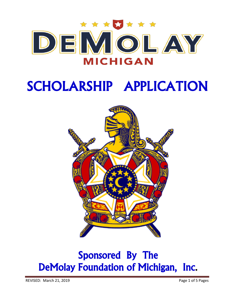

# SCHOLARSHIP APPLICATION



## Sponsored By The DeMolay Foundation of Michigan, Inc.

REVISED: March 21, 2019 **Page 1 of 5 Pages**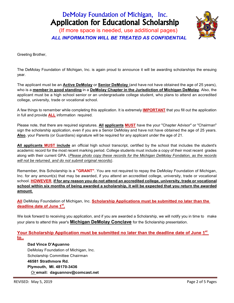## DeMolay Foundation of Michigan, Inc. Application for Educational Scholarship

(If more space is needed, use additional pages)  *ALL INFORMATION WILL BE TREATED AS CONFIDENTIAL*



Greeting Brother,

The DeMolay Foundation of Michigan, Inc. is again proud to announce it will be awarding scholarships the ensuing year.

The applicant must be an **Active DeMolay** or **Senior DeMolay** (and have not have obtained the age of 25 years), who is a **member in good standing** in a **DeMolay Chapter in the Jurisdiction of Michigan DeMolay**. Also, the applicant must be a high school senior or an undergraduate college student, who plans to attend an accredited college, university, trade or vocational school.

A few things to remember while completing this application. It is extremely **IMPORTANT** that you fill out the application in full and provide **ALL** information required.

Please note, that there are required signatures. **All applicants MUST** have the your "Chapter Advisor" or "Chairman" sign the scholarship application, even if you are a Senior DeMolay and have not have obtained the age of 25 years. **Also**, your Parents (or Guardians) signature will be required for any applicant under the age of 21.

**All applicants MUST include** an official high school transcript, certified by the school that includes the student's academic record for the most recent marking period. College students must include a copy of their most recent grades along with their current GPA. (*Please photo copy these records for the Michigan DeMolay Fondation, as the records will not be returned, and do not submit original records)*.

Remember, this Scholarship is a **"GRANT"**. You are not required to repay the DeMolay Foundation of Michigan, Inc. for any amount(s) that may be awarded, if you attend an accredited college, university, trade or vocational school. **HOWEVER**, **if for any reason you do not attend an accredited college, university, trade or vocational school within six months of being awarded a scholarship, it will be expected that you return the awarded amount**.

**All** DeMolay Foundation of Michigan, Inc. **Scholarship Applications must be submitted no later than the deadline date of June 1st.**

We look forward to receiving you application, and if you are awarded a Scholarship, we will notify you in time to make your plans to attend this year's **Michigan DeMolay Conclave** for the Scholarship presentation.

**Your Scholarship Application must be submitted no later than the deadline date of June 1st to..**

#### **Dad Vince D'Aguanno**

DeMolay Foundation of Michigan, Inc. Scholarship Committee Chairman **46581 Strathmore Rd. Plymouth, MI. 48170-3436** *Or* **email: daguannov@comcast.net**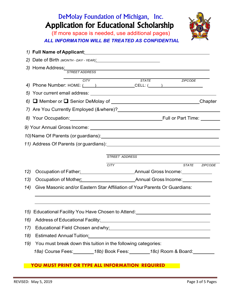## DeMolay Foundation of Michigan, Inc. Application for Educational Scholarship



(If more space is needed, use additional pages)  *ALL INFORMATION WILL BE TREATED AS CONFIDENTIAL*

|                                                                                                                                                                                                                                      | 3) Home Address: STREET ADDRESS                                                                                |  |  |  |
|--------------------------------------------------------------------------------------------------------------------------------------------------------------------------------------------------------------------------------------|----------------------------------------------------------------------------------------------------------------|--|--|--|
|                                                                                                                                                                                                                                      |                                                                                                                |  |  |  |
|                                                                                                                                                                                                                                      | ZIPCODE<br>STATE <b>STATE</b><br><b>CITY</b><br>4) Phone Number: HOME: ( ) CELL: ( )                           |  |  |  |
|                                                                                                                                                                                                                                      |                                                                                                                |  |  |  |
|                                                                                                                                                                                                                                      |                                                                                                                |  |  |  |
|                                                                                                                                                                                                                                      |                                                                                                                |  |  |  |
|                                                                                                                                                                                                                                      |                                                                                                                |  |  |  |
|                                                                                                                                                                                                                                      |                                                                                                                |  |  |  |
|                                                                                                                                                                                                                                      |                                                                                                                |  |  |  |
| 11) Address Of Parents (or guardians): <u>contract and contract and contract and contract and contract and contract and contract and contract and contract and contract and contract and contract and contract and contract and </u> |                                                                                                                |  |  |  |
|                                                                                                                                                                                                                                      |                                                                                                                |  |  |  |
|                                                                                                                                                                                                                                      | <b>STREET ADDRESS</b>                                                                                          |  |  |  |
|                                                                                                                                                                                                                                      | STATE ZIPCODE<br><b>CITY</b>                                                                                   |  |  |  |
| 12)                                                                                                                                                                                                                                  |                                                                                                                |  |  |  |
| 13)                                                                                                                                                                                                                                  |                                                                                                                |  |  |  |
| Give Masonic and/or Eastern Star Affiliation of Your Parents Or Guardians:<br>14)                                                                                                                                                    |                                                                                                                |  |  |  |
|                                                                                                                                                                                                                                      |                                                                                                                |  |  |  |
|                                                                                                                                                                                                                                      | 15) Educational Facility You Have Chosen to Attend: [1997] Educational Pacific View Attends                    |  |  |  |
|                                                                                                                                                                                                                                      |                                                                                                                |  |  |  |
| 17)                                                                                                                                                                                                                                  | Educational Field Chosen and why: Managem and why and the summan was also been also as a set of the summan was |  |  |  |
| 18)                                                                                                                                                                                                                                  | Estimated Annual Tuition: Manual Annual Tuition: Manual Annual Annual Annual Annual Annual Annual Annual Annua |  |  |  |
| 19)                                                                                                                                                                                                                                  | You must break down this tuition in the following categories:                                                  |  |  |  |
|                                                                                                                                                                                                                                      | 18a) Course Fees: _________18b) Book Fees: ________18c) Room & Board: _________                                |  |  |  |
|                                                                                                                                                                                                                                      |                                                                                                                |  |  |  |

#### **YOU MUST PRINT OR TYPE ALL INFORMATION REQUIRED**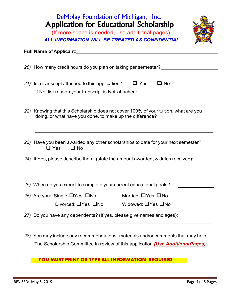## DeMolay Foundation of Michigan, Inc. Application for Educational Scholarship

(If more space is needed, use additional pages)  *ALL INFORMATION WILL BE TREATED AS CONFIDENTIAL*

#### **Full Name of Applicant**:

|                                                                                  | 20) How many credit hours do you plan on taking per semester?                       |  |  |  |
|----------------------------------------------------------------------------------|-------------------------------------------------------------------------------------|--|--|--|
|                                                                                  |                                                                                     |  |  |  |
|                                                                                  | $\Box$ Yes<br>$\Box$ No<br>21) Is a transcript attached to this application?        |  |  |  |
|                                                                                  | If No, list reason your transcript is Not attached:                                 |  |  |  |
|                                                                                  |                                                                                     |  |  |  |
|                                                                                  | 22) Knowing that this Scholarship does not cover 100% of your tuition, what are you |  |  |  |
|                                                                                  | doing, or what have you done, to make up the difference?                            |  |  |  |
|                                                                                  |                                                                                     |  |  |  |
| 23) Have you been awarded any other scholarships to date for your next semester? |                                                                                     |  |  |  |
|                                                                                  | $\Box$ Yes<br>$\Box$ No                                                             |  |  |  |
|                                                                                  | 24) If Yes, please describe them, (state the amount awarded, & dates received):     |  |  |  |
|                                                                                  |                                                                                     |  |  |  |
|                                                                                  |                                                                                     |  |  |  |
|                                                                                  | 25) When do you expect to complete your current educational goals?                  |  |  |  |
|                                                                                  | Married: UYes UNo<br>26) Are you: Single: $\Box$ Yes $\Box$ No                      |  |  |  |
|                                                                                  | Divorced: $\Box$ Yes $\Box$ No<br>Widowed: UYes UNo                                 |  |  |  |
|                                                                                  | 27) Do you have any dependents? (If yes, please give names and ages):               |  |  |  |
|                                                                                  |                                                                                     |  |  |  |
|                                                                                  | 28) You may include any recommendations, materials and/or comments that may help    |  |  |  |
|                                                                                  |                                                                                     |  |  |  |

The Scholarship Committee in review of this application *(Use AdditionalPages)*:

### **YOU MUST PRINT OR TYPE ALL INFORMATION REQUIRED**